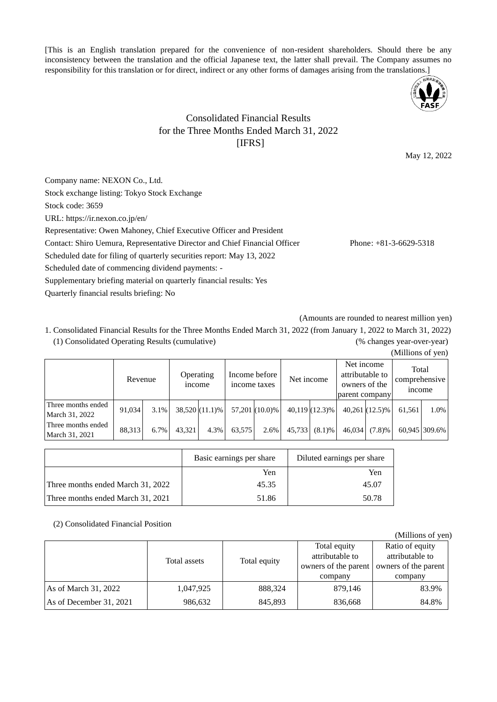[This is an English translation prepared for the convenience of non-resident shareholders. Should there be any inconsistency between the translation and the official Japanese text, the latter shall prevail. The Company assumes no responsibility for this translation or for direct, indirect or any other forms of damages arising from the translations.]



## Consolidated Financial Results for the Three Months Ended March 31, 2022 [IFRS]

May 12, 2022

Company name: NEXON Co., Ltd. Stock exchange listing: Tokyo Stock Exchange Stock code: 3659 URL: https://ir.nexon.co.jp/en/ Representative: Owen Mahoney, Chief Executive Officer and President Contact: Shiro Uemura, Representative Director and Chief Financial Officer Phone: +81-3-6629-5318 Scheduled date for filing of quarterly securities report: May 13, 2022 Scheduled date of commencing dividend payments: - Supplementary briefing material on quarterly financial results: Yes

Quarterly financial results briefing: No

(Amounts are rounded to nearest million yen)

1. Consolidated Financial Results for the Three Months Ended March 31, 2022 (from January 1, 2022 to March 31, 2022) (1) Consolidated Operating Results (cumulative) (% changes year-over-year)

|                                      | Revenue |      | Operating<br>income |                | Income before<br>income taxes |                | Net income |                  | attributable to<br>owners of the<br>parent company | Net income       | Total<br>comprehensive<br><i>n</i> come |               |
|--------------------------------------|---------|------|---------------------|----------------|-------------------------------|----------------|------------|------------------|----------------------------------------------------|------------------|-----------------------------------------|---------------|
| Three months ended<br>March 31, 2022 | 91.034  | 3.1% |                     | 38,520 (11.1)% |                               | 57,201 (10.0)% |            | $40,119(12.3)\%$ |                                                    | $40,261(12.5)\%$ | 61.561                                  | 1.0%          |
| Three months ended<br>March 31, 2021 | 88.313  | 6.7% | 43.321              | 4.3%           | 63.575                        | 2.6%           | 45.733     | (8.1)%           | 46,034                                             | (7.8)%           |                                         | 60.945 309.6% |

|                                   | Basic earnings per share | Diluted earnings per share |
|-----------------------------------|--------------------------|----------------------------|
|                                   | Yen                      | Yen                        |
| Three months ended March 31, 2022 | 45.35                    | 45.07                      |
| Three months ended March 31, 2021 | 51.86                    | 50.78                      |

(2) Consolidated Financial Position

|                         |              |              |                                                                    | (Millions of yen)                                                     |
|-------------------------|--------------|--------------|--------------------------------------------------------------------|-----------------------------------------------------------------------|
|                         | Total assets | Total equity | Total equity<br>attributable to<br>owners of the parent<br>company | Ratio of equity<br>attributable to<br>owners of the parent<br>company |
| As of March 31, 2022    | 1,047,925    | 888,324      | 879,146                                                            | 83.9%                                                                 |
| As of December 31, 2021 | 986,632      | 845,893      | 836,668                                                            | 84.8%                                                                 |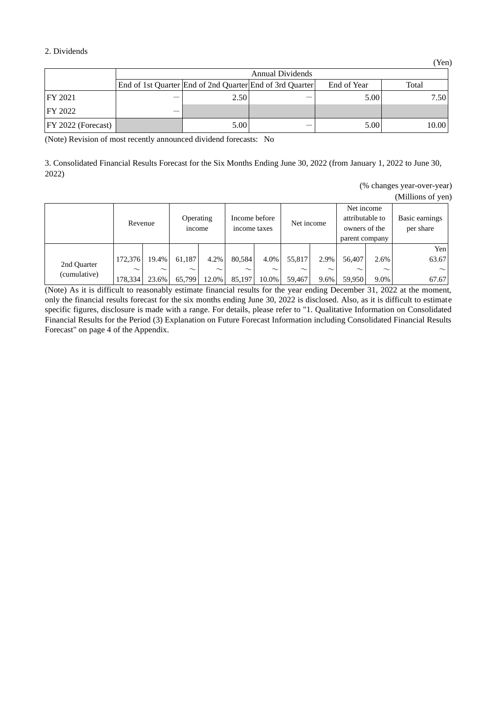#### 2. Dividends

|                       | <b>Annual Dividends</b> |      |                                                          |             |       |  |  |  |
|-----------------------|-------------------------|------|----------------------------------------------------------|-------------|-------|--|--|--|
|                       |                         |      | End of 1st Quarter End of 2nd Quarter End of 3rd Quarter | End of Year | Total |  |  |  |
| FY 2021               | –                       | 2.50 |                                                          | 5.00        | 7.50  |  |  |  |
| FY 2022               |                         |      |                                                          |             |       |  |  |  |
| $ FY 2022$ (Forecast) |                         | 5.00 |                                                          | 5.00        | 10.00 |  |  |  |

(Note) Revision of most recently announced dividend forecasts: No

3. Consolidated Financial Results Forecast for the Six Months Ending June 30, 2022 (from January 1, 2022 to June 30, 2022)

|  |  |  | (% changes year-over-year) |
|--|--|--|----------------------------|
|--|--|--|----------------------------|

(Millions of yen)

|                             | Operating<br>Revenue<br><i>n</i> come |        | Income before<br>income taxes |        | Net income |        | Net income<br>attributable to<br>owners of the<br>parent company |        | Basic earnings<br>per share |        |        |
|-----------------------------|---------------------------------------|--------|-------------------------------|--------|------------|--------|------------------------------------------------------------------|--------|-----------------------------|--------|--------|
|                             |                                       |        |                               |        |            |        |                                                                  |        |                             |        | Yen    |
| 2nd Quarter<br>(cumulative) | 172,376                               | 19.4%  | 61,187                        | 4.2%   | 80.584     | 4.0%   | 55.817                                                           | 2.9%   | 56,407                      | 2.6%   | 63.67  |
|                             | $\sim$                                | $\sim$ | $\sim$                        | $\sim$ | $\sim$     | $\sim$ | $\sim$                                                           | $\sim$ | $\sim$                      | $\sim$ | $\sim$ |
|                             | 178,334                               | 23.6%  | 65,799                        | 12.0%  | 85,197     | 10.0%  | 59.467                                                           | 9.6%   | 59,950                      | 9.0%   | 67.67  |

(Note) As it is difficult to reasonably estimate financial results for the year ending December 31, 2022 at the moment, only the financial results forecast for the six months ending June 30, 2022 is disclosed. Also, as it is difficult to estimate specific figures, disclosure is made with a range. For details, please refer to "1. Qualitative Information on Consolidated Financial Results for the Period (3) Explanation on Future Forecast Information including Consolidated Financial Results Forecast" on page 4 of the Appendix.

(Yen)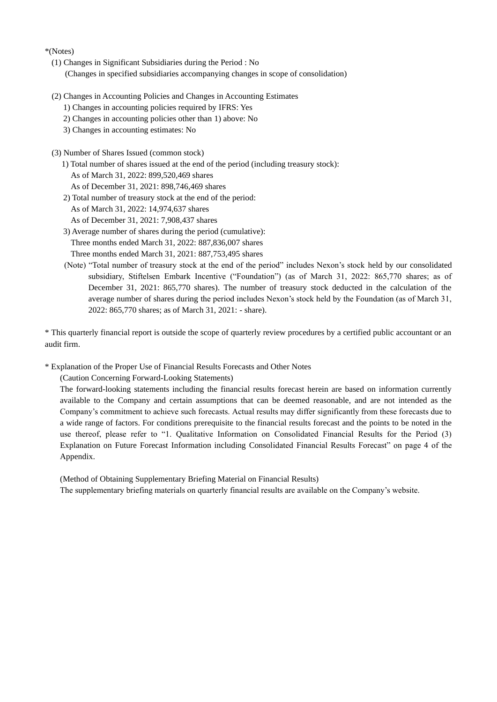\*(Notes)

- (1) Changes in Significant Subsidiaries during the Period : No (Changes in specified subsidiaries accompanying changes in scope of consolidation)
- (2) Changes in Accounting Policies and Changes in Accounting Estimates
	- 1) Changes in accounting policies required by IFRS: Yes
	- 2) Changes in accounting policies other than 1) above: No
	- 3) Changes in accounting estimates: No
- (3) Number of Shares Issued (common stock)
	- 1) Total number of shares issued at the end of the period (including treasury stock):
		- As of March 31, 2022: 899,520,469 shares
		- As of December 31, 2021: 898,746,469 shares
	- 2) Total number of treasury stock at the end of the period:
		- As of March 31, 2022: 14,974,637 shares
		- As of December 31, 2021: 7,908,437 shares
	- 3) Average number of shares during the period (cumulative): Three months ended March 31, 2022: 887,836,007 shares Three months ended March 31, 2021: 887,753,495 shares
	- (Note) "Total number of treasury stock at the end of the period" includes Nexon's stock held by our consolidated subsidiary, Stiftelsen Embark Incentive ("Foundation") (as of March 31, 2022: 865,770 shares; as of December 31, 2021: 865,770 shares). The number of treasury stock deducted in the calculation of the average number of shares during the period includes Nexon's stock held by the Foundation (as of March 31, 2022: 865,770 shares; as of March 31, 2021: - share).

\* This quarterly financial report is outside the scope of quarterly review procedures by a certified public accountant or an audit firm.

\* Explanation of the Proper Use of Financial Results Forecasts and Other Notes

(Caution Concerning Forward-Looking Statements)

The forward-looking statements including the financial results forecast herein are based on information currently available to the Company and certain assumptions that can be deemed reasonable, and are not intended as the Company's commitment to achieve such forecasts. Actual results may differ significantly from these forecasts due to a wide range of factors. For conditions prerequisite to the financial results forecast and the points to be noted in the use thereof, please refer to "1. Qualitative Information on Consolidated Financial Results for the Period (3) Explanation on Future Forecast Information including Consolidated Financial Results Forecast" on page 4 of the Appendix.

(Method of Obtaining Supplementary Briefing Material on Financial Results) The supplementary briefing materials on quarterly financial results are available on the Company's website.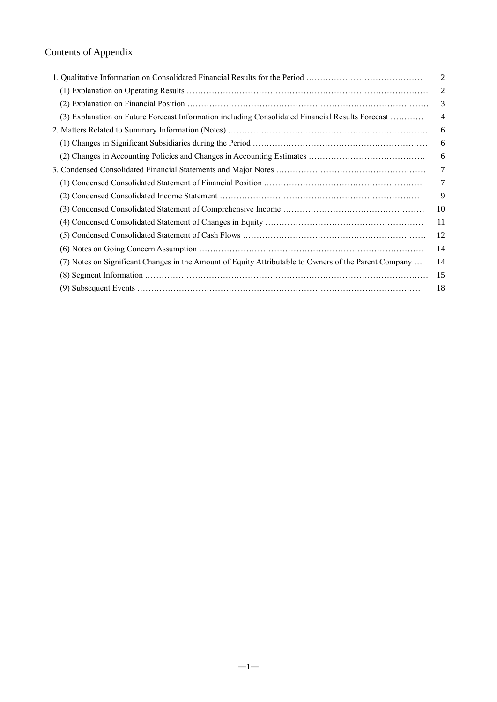## Contents of Appendix

|                                                                                                       | $\overline{2}$ |
|-------------------------------------------------------------------------------------------------------|----------------|
|                                                                                                       | 2              |
|                                                                                                       | 3              |
| (3) Explanation on Future Forecast Information including Consolidated Financial Results Forecast      | 4              |
|                                                                                                       | 6              |
|                                                                                                       | 6              |
|                                                                                                       | 6              |
|                                                                                                       | 7              |
|                                                                                                       | 7              |
|                                                                                                       | 9              |
|                                                                                                       | 10             |
|                                                                                                       | 11             |
|                                                                                                       | 12             |
|                                                                                                       | 14             |
| (7) Notes on Significant Changes in the Amount of Equity Attributable to Owners of the Parent Company | 14             |
|                                                                                                       | 15             |
|                                                                                                       | 18             |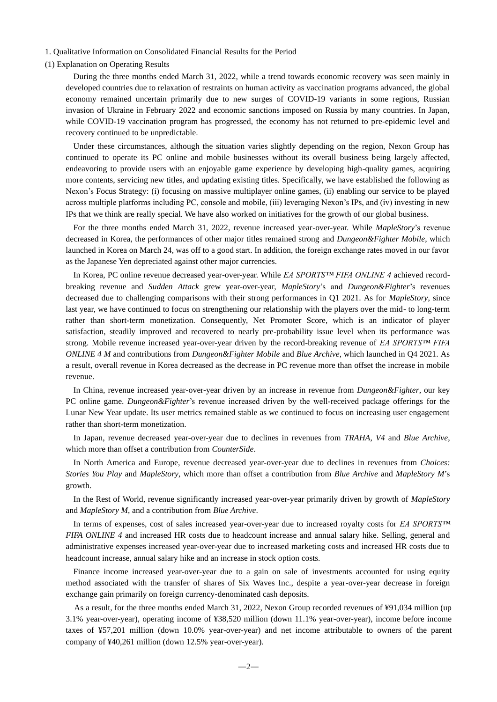#### 1. Qualitative Information on Consolidated Financial Results for the Period

#### (1) Explanation on Operating Results

During the three months ended March 31, 2022, while a trend towards economic recovery was seen mainly in developed countries due to relaxation of restraints on human activity as vaccination programs advanced, the global economy remained uncertain primarily due to new surges of COVID-19 variants in some regions, Russian invasion of Ukraine in February 2022 and economic sanctions imposed on Russia by many countries. In Japan, while COVID-19 vaccination program has progressed, the economy has not returned to pre-epidemic level and recovery continued to be unpredictable.

Under these circumstances, although the situation varies slightly depending on the region, Nexon Group has continued to operate its PC online and mobile businesses without its overall business being largely affected, endeavoring to provide users with an enjoyable game experience by developing high-quality games, acquiring more contents, servicing new titles, and updating existing titles. Specifically, we have established the following as Nexon's Focus Strategy: (i) focusing on massive multiplayer online games, (ii) enabling our service to be played across multiple platforms including PC, console and mobile, (iii) leveraging Nexon's IPs, and (iv) investing in new IPs that we think are really special. We have also worked on initiatives for the growth of our global business.

For the three months ended March 31, 2022, revenue increased year-over-year. While *MapleStory*'s revenue decreased in Korea, the performances of other major titles remained strong and *Dungeon&Fighter Mobile*, which launched in Korea on March 24, was off to a good start. In addition, the foreign exchange rates moved in our favor as the Japanese Yen depreciated against other major currencies.

In Korea, PC online revenue decreased year-over-year. While *EA SPORTS™ FIFA ONLINE 4* achieved recordbreaking revenue and *Sudden Attack* grew year-over-year, *MapleStory*'s and *Dungeon&Fighter*'s revenues decreased due to challenging comparisons with their strong performances in Q1 2021. As for *MapleStory*, since last year, we have continued to focus on strengthening our relationship with the players over the mid- to long-term rather than short-term monetization. Consequently, Net Promoter Score, which is an indicator of player satisfaction, steadily improved and recovered to nearly pre-probability issue level when its performance was strong. Mobile revenue increased year-over-year driven by the record-breaking revenue of *EA SPORTS™ FIFA ONLINE 4 M* and contributions from *Dungeon&Fighter Mobile* and *Blue Archive*, which launched in Q4 2021. As a result, overall revenue in Korea decreased as the decrease in PC revenue more than offset the increase in mobile revenue.

In China, revenue increased year-over-year driven by an increase in revenue from *Dungeon&Fighter*, our key PC online game. *Dungeon&Fighter*'s revenue increased driven by the well-received package offerings for the Lunar New Year update. Its user metrics remained stable as we continued to focus on increasing user engagement rather than short-term monetization.

In Japan, revenue decreased year-over-year due to declines in revenues from *TRAHA*, *V4* and *Blue Archive*, which more than offset a contribution from *CounterSide*.

In North America and Europe, revenue decreased year-over-year due to declines in revenues from *Choices: Stories You Play* and *MapleStory*, which more than offset a contribution from *Blue Archive* and *MapleStory M*'s growth.

In the Rest of World, revenue significantly increased year-over-year primarily driven by growth of *MapleStory*  and *MapleStory M*, and a contribution from *Blue Archive*.

In terms of expenses, cost of sales increased year-over-year due to increased royalty costs for *EA SPORTS™ FIFA ONLINE 4* and increased HR costs due to headcount increase and annual salary hike. Selling, general and administrative expenses increased year-over-year due to increased marketing costs and increased HR costs due to headcount increase, annual salary hike and an increase in stock option costs.

Finance income increased year-over-year due to a gain on sale of investments accounted for using equity method associated with the transfer of shares of Six Waves Inc., despite a year-over-year decrease in foreign exchange gain primarily on foreign currency-denominated cash deposits.

As a result, for the three months ended March 31, 2022, Nexon Group recorded revenues of ¥91,034 million (up 3.1% year-over-year), operating income of ¥38,520 million (down 11.1% year-over-year), income before income taxes of ¥57,201 million (down 10.0% year-over-year) and net income attributable to owners of the parent company of ¥40,261 million (down 12.5% year-over-year).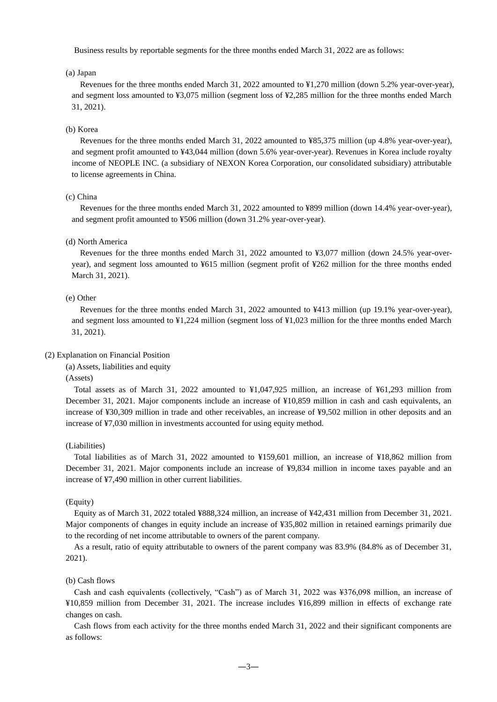Business results by reportable segments for the three months ended March 31, 2022 are as follows:

#### (a) Japan

Revenues for the three months ended March 31, 2022 amounted to ¥1,270 million (down 5.2% year-over-year), and segment loss amounted to ¥3,075 million (segment loss of ¥2,285 million for the three months ended March 31, 2021).

#### (b) Korea

Revenues for the three months ended March 31, 2022 amounted to ¥85,375 million (up 4.8% year-over-year), and segment profit amounted to ¥43,044 million (down 5.6% year-over-year). Revenues in Korea include royalty income of NEOPLE INC. (a subsidiary of NEXON Korea Corporation, our consolidated subsidiary) attributable to license agreements in China.

#### (c) China

Revenues for the three months ended March 31, 2022 amounted to ¥899 million (down 14.4% year-over-year), and segment profit amounted to ¥506 million (down 31.2% year-over-year).

#### (d) North America

Revenues for the three months ended March 31, 2022 amounted to ¥3,077 million (down 24.5% year-overyear), and segment loss amounted to ¥615 million (segment profit of ¥262 million for the three months ended March 31, 2021).

#### (e) Other

Revenues for the three months ended March 31, 2022 amounted to ¥413 million (up 19.1% year-over-year), and segment loss amounted to ¥1,224 million (segment loss of ¥1,023 million for the three months ended March 31, 2021).

#### (2) Explanation on Financial Position

(a) Assets, liabilities and equity

(Assets)

Total assets as of March 31, 2022 amounted to ¥1,047,925 million, an increase of ¥61,293 million from December 31, 2021. Major components include an increase of ¥10,859 million in cash and cash equivalents, an increase of ¥30,309 million in trade and other receivables, an increase of ¥9,502 million in other deposits and an increase of ¥7,030 million in investments accounted for using equity method.

#### (Liabilities)

Total liabilities as of March 31, 2022 amounted to ¥159,601 million, an increase of ¥18,862 million from December 31, 2021. Major components include an increase of ¥9,834 million in income taxes payable and an increase of ¥7,490 million in other current liabilities.

#### (Equity)

Equity as of March 31, 2022 totaled ¥888,324 million, an increase of ¥42,431 million from December 31, 2021. Major components of changes in equity include an increase of ¥35,802 million in retained earnings primarily due to the recording of net income attributable to owners of the parent company.

As a result, ratio of equity attributable to owners of the parent company was 83.9% (84.8% as of December 31, 2021).

#### (b) Cash flows

Cash and cash equivalents (collectively, "Cash") as of March 31, 2022 was ¥376,098 million, an increase of ¥10,859 million from December 31, 2021. The increase includes ¥16,899 million in effects of exchange rate changes on cash.

Cash flows from each activity for the three months ended March 31, 2022 and their significant components are as follows: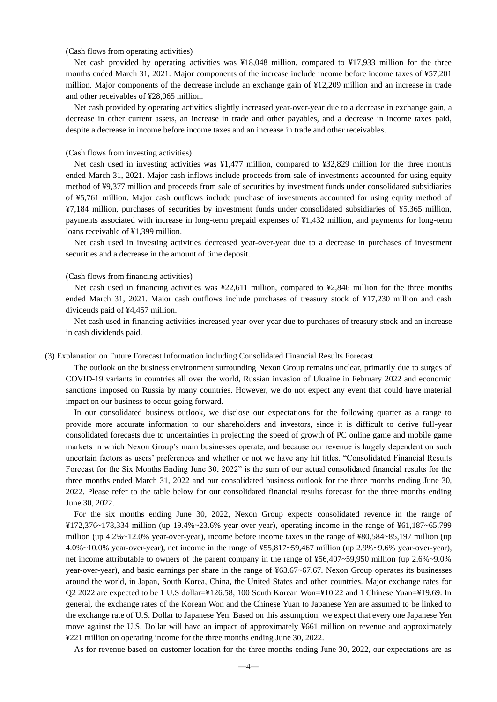#### (Cash flows from operating activities)

Net cash provided by operating activities was ¥18,048 million, compared to ¥17,933 million for the three months ended March 31, 2021. Major components of the increase include income before income taxes of ¥57,201 million. Major components of the decrease include an exchange gain of ¥12,209 million and an increase in trade and other receivables of ¥28,065 million.

Net cash provided by operating activities slightly increased year-over-year due to a decrease in exchange gain, a decrease in other current assets, an increase in trade and other payables, and a decrease in income taxes paid, despite a decrease in income before income taxes and an increase in trade and other receivables.

#### (Cash flows from investing activities)

Net cash used in investing activities was ¥1,477 million, compared to ¥32,829 million for the three months ended March 31, 2021. Major cash inflows include proceeds from sale of investments accounted for using equity method of ¥9,377 million and proceeds from sale of securities by investment funds under consolidated subsidiaries of ¥5,761 million. Major cash outflows include purchase of investments accounted for using equity method of ¥7,184 million, purchases of securities by investment funds under consolidated subsidiaries of ¥5,365 million, payments associated with increase in long-term prepaid expenses of ¥1,432 million, and payments for long-term loans receivable of ¥1,399 million.

Net cash used in investing activities decreased year-over-year due to a decrease in purchases of investment securities and a decrease in the amount of time deposit.

#### (Cash flows from financing activities)

Net cash used in financing activities was ¥22,611 million, compared to ¥2,846 million for the three months ended March 31, 2021. Major cash outflows include purchases of treasury stock of ¥17,230 million and cash dividends paid of ¥4,457 million.

Net cash used in financing activities increased year-over-year due to purchases of treasury stock and an increase in cash dividends paid.

#### (3) Explanation on Future Forecast Information including Consolidated Financial Results Forecast

The outlook on the business environment surrounding Nexon Group remains unclear, primarily due to surges of COVID-19 variants in countries all over the world, Russian invasion of Ukraine in February 2022 and economic sanctions imposed on Russia by many countries. However, we do not expect any event that could have material impact on our business to occur going forward.

In our consolidated business outlook, we disclose our expectations for the following quarter as a range to provide more accurate information to our shareholders and investors, since it is difficult to derive full-year consolidated forecasts due to uncertainties in projecting the speed of growth of PC online game and mobile game markets in which Nexon Group's main businesses operate, and because our revenue is largely dependent on such uncertain factors as users' preferences and whether or not we have any hit titles. "Consolidated Financial Results Forecast for the Six Months Ending June 30, 2022" is the sum of our actual consolidated financial results for the three months ended March 31, 2022 and our consolidated business outlook for the three months ending June 30, 2022. Please refer to the table below for our consolidated financial results forecast for the three months ending June 30, 2022.

For the six months ending June 30, 2022, Nexon Group expects consolidated revenue in the range of ¥172,376~178,334 million (up 19.4%~23.6% year-over-year), operating income in the range of ¥61,187~65,799 million (up 4.2%~12.0% year-over-year), income before income taxes in the range of ¥80,584~85,197 million (up 4.0%~10.0% year-over-year), net income in the range of ¥55,817~59,467 million (up 2.9%~9.6% year-over-year), net income attributable to owners of the parent company in the range of ¥56,407~59,950 million (up 2.6%~9.0% year-over-year), and basic earnings per share in the range of ¥63.67~67.67. Nexon Group operates its businesses around the world, in Japan, South Korea, China, the United States and other countries. Major exchange rates for Q2 2022 are expected to be 1 U.S dollar=¥126.58, 100 South Korean Won=¥10.22 and 1 Chinese Yuan=¥19.69. In general, the exchange rates of the Korean Won and the Chinese Yuan to Japanese Yen are assumed to be linked to the exchange rate of U.S. Dollar to Japanese Yen. Based on this assumption, we expect that every one Japanese Yen move against the U.S. Dollar will have an impact of approximately ¥661 million on revenue and approximately ¥221 million on operating income for the three months ending June 30, 2022.

As for revenue based on customer location for the three months ending June 30, 2022, our expectations are as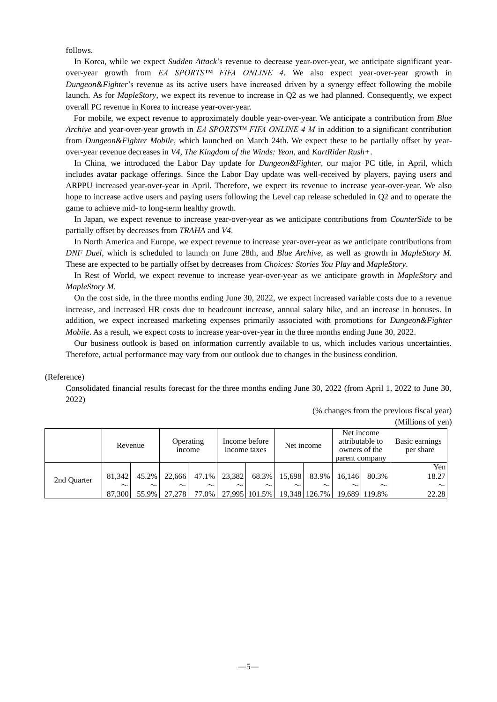follows.

In Korea, while we expect *Sudden Attack*'s revenue to decrease year-over-year, we anticipate significant yearover-year growth from *EA SPORTS™ FIFA ONLINE 4*. We also expect year-over-year growth in *Dungeon&Fighter*'s revenue as its active users have increased driven by a synergy effect following the mobile launch. As for *MapleStory*, we expect its revenue to increase in Q2 as we had planned. Consequently, we expect overall PC revenue in Korea to increase year-over-year.

For mobile, we expect revenue to approximately double year-over-year. We anticipate a contribution from *Blue Archive* and year-over-year growth in *EA SPORTS™ FIFA ONLINE 4 M* in addition to a significant contribution from *Dungeon&Fighter Mobile*, which launched on March 24th. We expect these to be partially offset by yearover-year revenue decreases in *V4*, *The Kingdom of the Winds: Yeon*, and *KartRider Rush+*.

In China, we introduced the Labor Day update for *Dungeon&Fighter*, our major PC title, in April, which includes avatar package offerings. Since the Labor Day update was well-received by players, paying users and ARPPU increased year-over-year in April. Therefore, we expect its revenue to increase year-over-year. We also hope to increase active users and paying users following the Level cap release scheduled in Q2 and to operate the game to achieve mid- to long-term healthy growth.

In Japan, we expect revenue to increase year-over-year as we anticipate contributions from *CounterSide* to be partially offset by decreases from *TRAHA* and *V4*.

In North America and Europe, we expect revenue to increase year-over-year as we anticipate contributions from *DNF Duel*, which is scheduled to launch on June 28th, and *Blue Archive*, as well as growth in *MapleStory M.*  These are expected to be partially offset by decreases from *Choices: Stories You Play* and *MapleStory*.

In Rest of World, we expect revenue to increase year-over-year as we anticipate growth in *MapleStory* and *MapleStory M*.

On the cost side, in the three months ending June 30, 2022, we expect increased variable costs due to a revenue increase, and increased HR costs due to headcount increase, annual salary hike, and an increase in bonuses. In addition, we expect increased marketing expenses primarily associated with promotions for *Dungeon&Fighter Mobile*. As a result, we expect costs to increase year-over-year in the three months ending June 30, 2022.

Our business outlook is based on information currently available to us, which includes various uncertainties. Therefore, actual performance may vary from our outlook due to changes in the business condition.

#### (Reference)

Consolidated financial results forecast for the three months ending June 30, 2022 (from April 1, 2022 to June 30, 2022)

> (% changes from the previous fiscal year) (Millions of yen)

|             | Revenue          |                 | <b>Operating</b><br>income |                 | income taxes | Income before                               | Net income |        | Net income<br>attributable to<br>owners of the<br>parent company |                         | Basic earnings<br>per share |
|-------------|------------------|-----------------|----------------------------|-----------------|--------------|---------------------------------------------|------------|--------|------------------------------------------------------------------|-------------------------|-----------------------------|
|             | 81.342           | 45.2%           | 22,666                     | 47.1%           | 23.382       | 68.3%                                       | 15.698     | 83.9%  | 16.146                                                           | 80.3%                   | Yen<br>18.27                |
| 2nd Quarter | $\sim$<br>87,300 | $\sim$<br>55.9% | $\sim$<br>27.278           | $\sim$<br>77.0% | $\sim$       | $\sim$<br>27,995   101.5%   19,348   126.7% | $\sim$     | $\sim$ | $\sim$                                                           | $\sim$<br>19,689 119.8% | $\sim$<br>22.28             |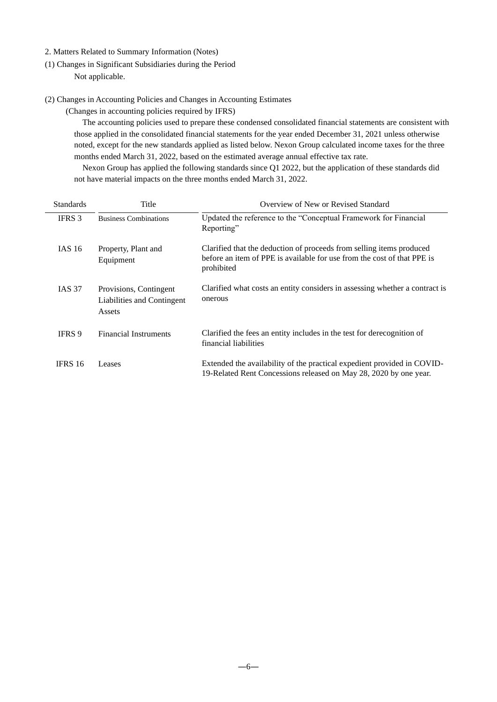- 2. Matters Related to Summary Information (Notes)
- (1) Changes in Significant Subsidiaries during the Period Not applicable.
- (2) Changes in Accounting Policies and Changes in Accounting Estimates

(Changes in accounting policies required by IFRS)

The accounting policies used to prepare these condensed consolidated financial statements are consistent with those applied in the consolidated financial statements for the year ended December 31, 2021 unless otherwise noted, except for the new standards applied as listed below. Nexon Group calculated income taxes for the three months ended March 31, 2022, based on the estimated average annual effective tax rate.

Nexon Group has applied the following standards since Q1 2022, but the application of these standards did not have material impacts on the three months ended March 31, 2022.

| <b>Standards</b> | Title                                                          | Overview of New or Revised Standard                                                                                                                           |  |  |  |  |
|------------------|----------------------------------------------------------------|---------------------------------------------------------------------------------------------------------------------------------------------------------------|--|--|--|--|
| <b>IFRS</b> 3    | <b>Business Combinations</b>                                   | Updated the reference to the "Conceptual Framework for Financial<br>Reporting"                                                                                |  |  |  |  |
| IAS 16           | Property, Plant and<br>Equipment                               | Clarified that the deduction of proceeds from selling items produced<br>before an item of PPE is available for use from the cost of that PPE is<br>prohibited |  |  |  |  |
| <b>IAS 37</b>    | Provisions, Contingent<br>Liabilities and Contingent<br>Assets | Clarified what costs an entity considers in assessing whether a contract is<br>onerous                                                                        |  |  |  |  |
| <b>IFRS 9</b>    | <b>Financial Instruments</b>                                   | Clarified the fees an entity includes in the test for derecognition of<br>financial liabilities                                                               |  |  |  |  |
| <b>IFRS 16</b>   | Leases                                                         | Extended the availability of the practical expedient provided in COVID-<br>19-Related Rent Concessions released on May 28, 2020 by one year.                  |  |  |  |  |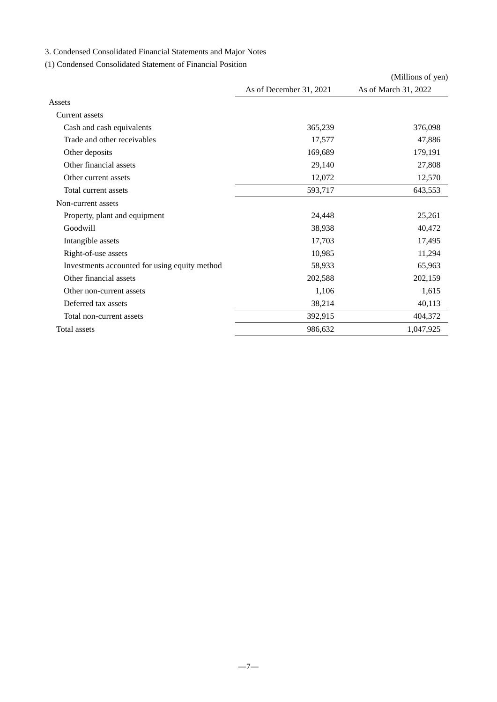## 3. Condensed Consolidated Financial Statements and Major Notes

## (1) Condensed Consolidated Statement of Financial Position

|                                               |                         | (Millions of yen)    |
|-----------------------------------------------|-------------------------|----------------------|
|                                               | As of December 31, 2021 | As of March 31, 2022 |
| Assets                                        |                         |                      |
| Current assets                                |                         |                      |
| Cash and cash equivalents                     | 365,239                 | 376,098              |
| Trade and other receivables                   | 17,577                  | 47,886               |
| Other deposits                                | 169,689                 | 179,191              |
| Other financial assets                        | 29,140                  | 27,808               |
| Other current assets                          | 12,072                  | 12,570               |
| Total current assets                          | 593,717                 | 643,553              |
| Non-current assets                            |                         |                      |
| Property, plant and equipment                 | 24,448                  | 25,261               |
| Goodwill                                      | 38,938                  | 40,472               |
| Intangible assets                             | 17,703                  | 17,495               |
| Right-of-use assets                           | 10,985                  | 11,294               |
| Investments accounted for using equity method | 58,933                  | 65,963               |
| Other financial assets                        | 202,588                 | 202,159              |
| Other non-current assets                      | 1,106                   | 1,615                |
| Deferred tax assets                           | 38,214                  | 40,113               |
| Total non-current assets                      | 392,915                 | 404,372              |
| <b>Total assets</b>                           | 986,632                 | 1,047,925            |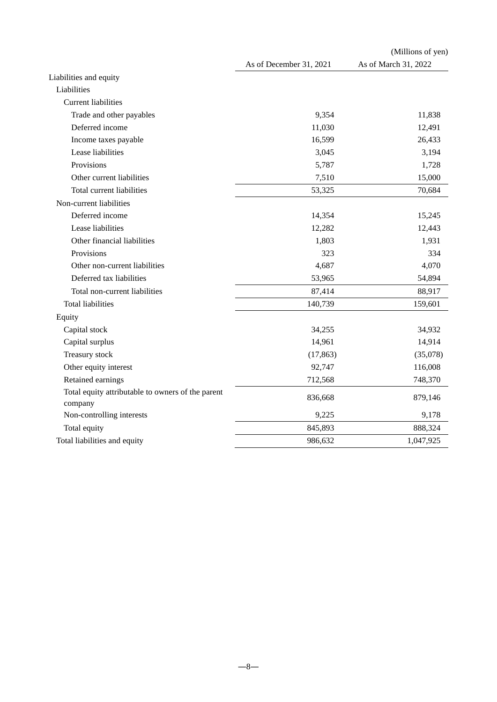|                                                              |                         | (Millions of yen)    |
|--------------------------------------------------------------|-------------------------|----------------------|
|                                                              | As of December 31, 2021 | As of March 31, 2022 |
| Liabilities and equity                                       |                         |                      |
| Liabilities                                                  |                         |                      |
| <b>Current liabilities</b>                                   |                         |                      |
| Trade and other payables                                     | 9,354                   | 11,838               |
| Deferred income                                              | 11,030                  | 12,491               |
| Income taxes payable                                         | 16,599                  | 26,433               |
| Lease liabilities                                            | 3,045                   | 3,194                |
| Provisions                                                   | 5,787                   | 1,728                |
| Other current liabilities                                    | 7,510                   | 15,000               |
| Total current liabilities                                    | 53,325                  | 70,684               |
| Non-current liabilities                                      |                         |                      |
| Deferred income                                              | 14,354                  | 15,245               |
| Lease liabilities                                            | 12,282                  | 12,443               |
| Other financial liabilities                                  | 1,803                   | 1,931                |
| Provisions                                                   | 323                     | 334                  |
| Other non-current liabilities                                | 4,687                   | 4,070                |
| Deferred tax liabilities                                     | 53,965                  | 54,894               |
| Total non-current liabilities                                | 87,414                  | 88,917               |
| <b>Total liabilities</b>                                     | 140,739                 | 159,601              |
| Equity                                                       |                         |                      |
| Capital stock                                                | 34,255                  | 34,932               |
| Capital surplus                                              | 14,961                  | 14,914               |
| Treasury stock                                               | (17, 863)               | (35,078)             |
| Other equity interest                                        | 92,747                  | 116,008              |
| Retained earnings                                            | 712,568                 | 748,370              |
| Total equity attributable to owners of the parent<br>company | 836,668                 | 879,146              |
| Non-controlling interests                                    | 9,225                   | 9,178                |
| Total equity                                                 | 845,893                 | 888,324              |
| Total liabilities and equity                                 | 986,632                 | 1,047,925            |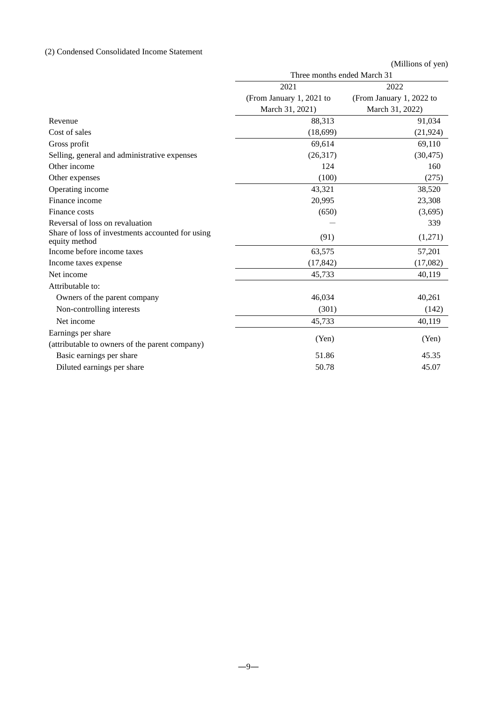## (2) Condensed Consolidated Income Statement

|                                                                   |                             | (Millions of yen)        |
|-------------------------------------------------------------------|-----------------------------|--------------------------|
|                                                                   | Three months ended March 31 |                          |
|                                                                   | 2021                        | 2022                     |
|                                                                   | (From January 1, 2021 to    | (From January 1, 2022 to |
|                                                                   | March 31, 2021)             | March 31, 2022)          |
| Revenue                                                           | 88,313                      | 91,034                   |
| Cost of sales                                                     | (18, 699)                   | (21, 924)                |
| Gross profit                                                      | 69,614                      | 69,110                   |
| Selling, general and administrative expenses                      | (26,317)                    | (30, 475)                |
| Other income                                                      | 124                         | 160                      |
| Other expenses                                                    | (100)                       | (275)                    |
| Operating income                                                  | 43,321                      | 38,520                   |
| Finance income                                                    | 20,995                      | 23,308                   |
| Finance costs                                                     | (650)                       | (3,695)                  |
| Reversal of loss on revaluation                                   |                             | 339                      |
| Share of loss of investments accounted for using<br>equity method | (91)                        | (1,271)                  |
| Income before income taxes                                        | 63,575                      | 57,201                   |
| Income taxes expense                                              | (17, 842)                   | (17,082)                 |
| Net income                                                        | 45,733                      | 40,119                   |
| Attributable to:                                                  |                             |                          |
| Owners of the parent company                                      | 46,034                      | 40,261                   |
| Non-controlling interests                                         | (301)                       | (142)                    |
| Net income                                                        | 45,733                      | 40,119                   |
| Earnings per share                                                |                             |                          |
| (attributable to owners of the parent company)                    | (Yen)                       | (Yen)                    |
| Basic earnings per share                                          | 51.86                       | 45.35                    |
| Diluted earnings per share                                        | 50.78                       | 45.07                    |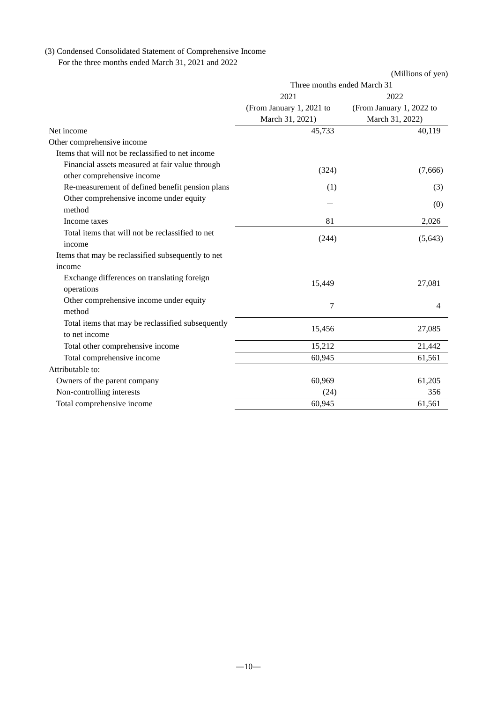# (3) Condensed Consolidated Statement of Comprehensive Income

For the three months ended March 31, 2021 and 2022

|                                                                               |                             | (Millions of yen)        |
|-------------------------------------------------------------------------------|-----------------------------|--------------------------|
|                                                                               | Three months ended March 31 |                          |
|                                                                               | 2021                        | 2022                     |
|                                                                               | (From January 1, 2021 to    | (From January 1, 2022 to |
|                                                                               | March 31, 2021)             | March 31, 2022)          |
| Net income                                                                    | 45,733                      | 40,119                   |
| Other comprehensive income                                                    |                             |                          |
| Items that will not be reclassified to net income                             |                             |                          |
| Financial assets measured at fair value through<br>other comprehensive income | (324)                       | (7,666)                  |
| Re-measurement of defined benefit pension plans                               | (1)                         | (3)                      |
| Other comprehensive income under equity<br>method                             |                             | (0)                      |
| Income taxes                                                                  | 81                          | 2,026                    |
| Total items that will not be reclassified to net<br>income                    | (244)                       | (5,643)                  |
| Items that may be reclassified subsequently to net                            |                             |                          |
| income                                                                        |                             |                          |
| Exchange differences on translating foreign<br>operations                     | 15,449                      | 27,081                   |
| Other comprehensive income under equity<br>method                             | 7                           | 4                        |
| Total items that may be reclassified subsequently<br>to net income            | 15,456                      | 27,085                   |
| Total other comprehensive income                                              | 15,212                      | 21,442                   |
| Total comprehensive income                                                    | 60,945                      | 61,561                   |
| Attributable to:                                                              |                             |                          |
| Owners of the parent company                                                  | 60,969                      | 61,205                   |
| Non-controlling interests                                                     | (24)                        | 356                      |
| Total comprehensive income                                                    | 60,945                      | 61,561                   |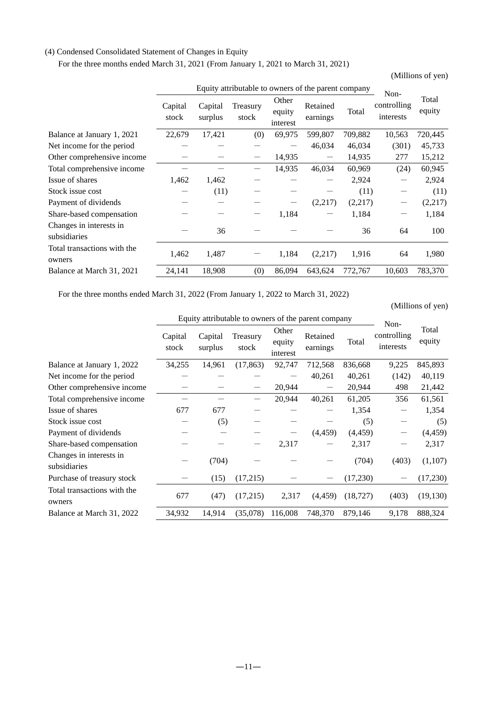#### (4) Condensed Consolidated Statement of Changes in Equity

For the three months ended March 31, 2021 (From January 1, 2021 to March 31, 2021)

(Millions of yen)

|                                         |                  |                    |                   |                             | Equity attributable to owners of the parent company |         | Non-                     |                 |
|-----------------------------------------|------------------|--------------------|-------------------|-----------------------------|-----------------------------------------------------|---------|--------------------------|-----------------|
|                                         | Capital<br>stock | Capital<br>surplus | Treasury<br>stock | Other<br>equity<br>interest | Retained<br>earnings                                | Total   | controlling<br>interests | Total<br>equity |
| Balance at January 1, 2021              | 22,679           | 17,421             | (0)               | 69,975                      | 599,807                                             | 709,882 | 10,563                   | 720,445         |
| Net income for the period               |                  |                    |                   |                             | 46,034                                              | 46,034  | (301)                    | 45,733          |
| Other comprehensive income              |                  |                    |                   | 14,935                      | —                                                   | 14,935  | 277                      | 15,212          |
| Total comprehensive income              |                  |                    |                   | 14,935                      | 46,034                                              | 60,969  | (24)                     | 60,945          |
| Issue of shares                         | 1,462            | 1,462              |                   |                             |                                                     | 2,924   | $\qquad \qquad -$        | 2,924           |
| Stock issue cost                        |                  | (11)               |                   |                             |                                                     | (11)    |                          | (11)            |
| Payment of dividends                    |                  |                    |                   |                             | (2,217)                                             | (2,217) |                          | (2,217)         |
| Share-based compensation                |                  |                    |                   | 1,184                       |                                                     | 1,184   | —                        | 1,184           |
| Changes in interests in<br>subsidiaries |                  | 36                 |                   |                             |                                                     | 36      | 64                       | 100             |
| Total transactions with the<br>owners   | 1,462            | 1,487              |                   | 1,184                       | (2,217)                                             | 1,916   | 64                       | 1,980           |
| Balance at March 31, 2021               | 24,141           | 18,908             | (0)               | 86,094                      | 643,624                                             | 772,767 | 10,603                   | 783,370         |

For the three months ended March 31, 2022 (From January 1, 2022 to March 31, 2022)

(Millions of yen)

|                                         |                  |                    |                   |                             | Equity attributable to owners of the parent company |           |                                  |                 |
|-----------------------------------------|------------------|--------------------|-------------------|-----------------------------|-----------------------------------------------------|-----------|----------------------------------|-----------------|
|                                         | Capital<br>stock | Capital<br>surplus | Treasury<br>stock | Other<br>equity<br>interest | Retained<br>earnings                                | Total     | Non-<br>controlling<br>interests | Total<br>equity |
| Balance at January 1, 2022              | 34,255           | 14,961             | (17, 863)         | 92,747                      | 712,568                                             | 836,668   | 9,225                            | 845,893         |
| Net income for the period               |                  |                    |                   |                             | 40,261                                              | 40,261    | (142)                            | 40,119          |
| Other comprehensive income              |                  |                    |                   | 20,944                      |                                                     | 20,944    | 498                              | 21,442          |
| Total comprehensive income              |                  |                    |                   | 20,944                      | 40,261                                              | 61,205    | 356                              | 61,561          |
| Issue of shares                         | 677              | 677                |                   |                             |                                                     | 1,354     |                                  | 1,354           |
| Stock issue cost                        |                  | (5)                |                   |                             |                                                     | (5)       |                                  | (5)             |
| Payment of dividends                    |                  |                    |                   |                             | (4, 459)                                            | (4, 459)  |                                  | (4, 459)        |
| Share-based compensation                |                  |                    |                   | 2,317                       |                                                     | 2,317     |                                  | 2,317           |
| Changes in interests in<br>subsidiaries |                  | (704)              |                   |                             |                                                     | (704)     | (403)                            | (1,107)         |
| Purchase of treasury stock              |                  | (15)               | (17,215)          |                             |                                                     | (17,230)  |                                  | (17,230)        |
| Total transactions with the<br>owners   | 677              | (47)               | (17,215)          | 2,317                       | (4, 459)                                            | (18, 727) | (403)                            | (19, 130)       |
| Balance at March 31, 2022               | 34,932           | 14,914             | (35,078)          | 116,008                     | 748,370                                             | 879,146   | 9,178                            | 888,324         |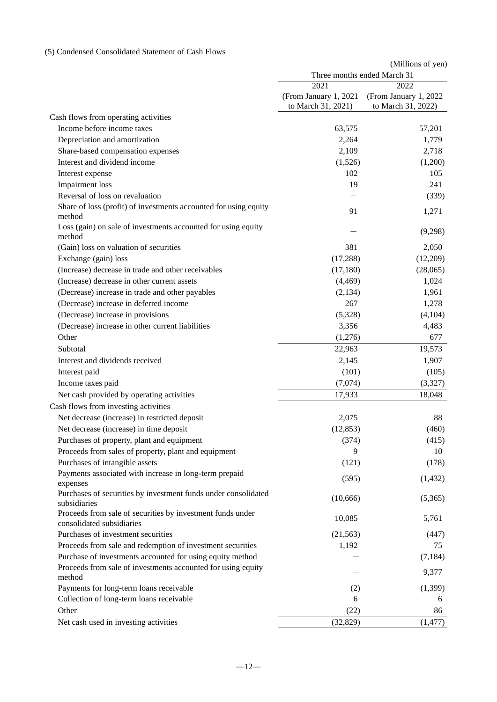## (5) Condensed Consolidated Statement of Cash Flows

|                                                                                         |                        | (Millions of yen)           |
|-----------------------------------------------------------------------------------------|------------------------|-----------------------------|
|                                                                                         |                        | Three months ended March 31 |
|                                                                                         | 2021                   | 2022                        |
|                                                                                         | (From January 1, 2021) | (From January 1, 2022       |
|                                                                                         | to March 31, 2021)     | to March 31, 2022)          |
| Cash flows from operating activities                                                    |                        |                             |
| Income before income taxes                                                              | 63,575                 | 57,201                      |
| Depreciation and amortization                                                           | 2,264                  | 1,779                       |
| Share-based compensation expenses                                                       | 2,109                  | 2,718                       |
| Interest and dividend income                                                            | (1,526)                | (1,200)                     |
| Interest expense                                                                        | 102                    | 105                         |
| Impairment loss                                                                         | 19                     | 241                         |
| Reversal of loss on revaluation                                                         |                        | (339)                       |
| Share of loss (profit) of investments accounted for using equity<br>method              | 91                     | 1,271                       |
| Loss (gain) on sale of investments accounted for using equity<br>method                 |                        | (9,298)                     |
| (Gain) loss on valuation of securities                                                  | 381                    | 2,050                       |
| Exchange (gain) loss                                                                    | (17, 288)              | (12,209)                    |
| (Increase) decrease in trade and other receivables                                      | (17,180)               | (28,065)                    |
| (Increase) decrease in other current assets                                             | (4, 469)               | 1,024                       |
| (Decrease) increase in trade and other payables                                         | (2,134)                | 1,961                       |
| (Decrease) increase in deferred income                                                  | 267                    | 1,278                       |
| (Decrease) increase in provisions                                                       | (5,328)                | (4,104)                     |
| (Decrease) increase in other current liabilities                                        | 3,356                  | 4,483                       |
| Other                                                                                   | (1,276)                | 677                         |
| Subtotal                                                                                | 22,963                 | 19,573                      |
| Interest and dividends received                                                         | 2,145                  | 1,907                       |
| Interest paid                                                                           | (101)                  | (105)                       |
| Income taxes paid                                                                       | (7,074)                | (3,327)                     |
| Net cash provided by operating activities                                               | 17,933                 | 18,048                      |
| Cash flows from investing activities                                                    |                        |                             |
| Net decrease (increase) in restricted deposit                                           | 2,075                  | 88                          |
| Net decrease (increase) in time deposit                                                 | (12, 853)              | (460)                       |
| Purchases of property, plant and equipment                                              | (374)                  | (415)                       |
| Proceeds from sales of property, plant and equipment                                    | 9                      | 10                          |
| Purchases of intangible assets                                                          | (121)                  | (178)                       |
| Payments associated with increase in long-term prepaid                                  |                        |                             |
| expenses                                                                                | (595)                  | (1, 432)                    |
| Purchases of securities by investment funds under consolidated<br>subsidiaries          | (10, 666)              | (5,365)                     |
| Proceeds from sale of securities by investment funds under<br>consolidated subsidiaries | 10,085                 | 5,761                       |
| Purchases of investment securities                                                      | (21, 563)              | (447)                       |
| Proceeds from sale and redemption of investment securities                              | 1,192                  | 75                          |
| Purchase of investments accounted for using equity method                               |                        | (7, 184)                    |
| Proceeds from sale of investments accounted for using equity                            |                        |                             |
| method                                                                                  |                        | 9,377                       |
| Payments for long-term loans receivable                                                 | (2)                    | (1,399)                     |
| Collection of long-term loans receivable                                                | 6                      | 6                           |
| Other                                                                                   | (22)                   | 86                          |
| Net cash used in investing activities                                                   | (32, 829)              | (1, 477)                    |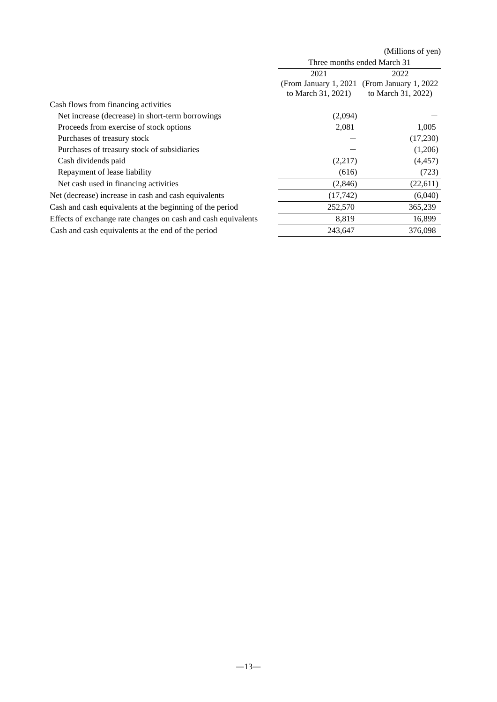|                                                               |                             | (Millions of yen)      |  |
|---------------------------------------------------------------|-----------------------------|------------------------|--|
|                                                               | Three months ended March 31 |                        |  |
|                                                               | 2021                        | 2022                   |  |
|                                                               | (From January 1, 2021)      | (From January 1, 2022) |  |
|                                                               | to March 31, 2021)          | to March 31, 2022)     |  |
| Cash flows from financing activities                          |                             |                        |  |
| Net increase (decrease) in short-term borrowings              | (2,094)                     |                        |  |
| Proceeds from exercise of stock options                       | 2,081                       | 1,005                  |  |
| Purchases of treasury stock                                   |                             | (17,230)               |  |
| Purchases of treasury stock of subsidiaries                   |                             | (1,206)                |  |
| Cash dividends paid                                           | (2,217)                     | (4, 457)               |  |
| Repayment of lease liability                                  | (616)                       | (723)                  |  |
| Net cash used in financing activities                         | (2,846)                     | (22,611)               |  |
| Net (decrease) increase in cash and cash equivalents          | (17,742)                    | (6,040)                |  |
| Cash and cash equivalents at the beginning of the period      | 252,570                     | 365,239                |  |
| Effects of exchange rate changes on cash and cash equivalents | 8,819                       | 16,899                 |  |
| Cash and cash equivalents at the end of the period            | 243,647                     | 376,098                |  |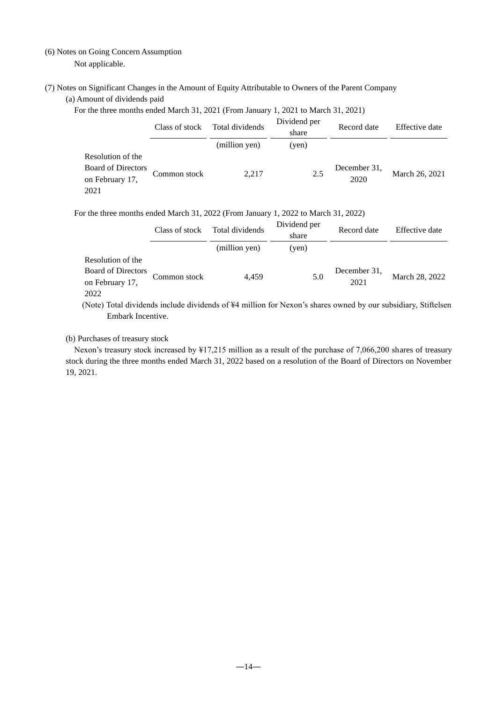## (6) Notes on Going Concern Assumption Not applicable.

(7) Notes on Significant Changes in the Amount of Equity Attributable to Owners of the Parent Company (a) Amount of dividends paid

For the three months ended March 31, 2021 (From January 1, 2021 to March 31, 2021)

|                                                                           | Class of stock | Total dividends | Dividend per<br>share | Record date          | Effective date |
|---------------------------------------------------------------------------|----------------|-----------------|-----------------------|----------------------|----------------|
|                                                                           |                | (million yen)   | (yen)                 |                      |                |
| Resolution of the<br><b>Board of Directors</b><br>on February 17,<br>2021 | Common stock   | 2.217           | 2.5                   | December 31,<br>2020 | March 26, 2021 |

#### For the three months ended March 31, 2022 (From January 1, 2022 to March 31, 2022)

|                                                                    | Class of stock | Total dividends | Dividend per<br>share | Record date          | Effective date |
|--------------------------------------------------------------------|----------------|-----------------|-----------------------|----------------------|----------------|
|                                                                    |                | (million yen)   | (yen)                 |                      |                |
| Resolution of the<br>Board of Directors<br>on February 17,<br>2022 | Common stock   | 4.459           | 5.0                   | December 31,<br>2021 | March 28, 2022 |

(Note) Total dividends include dividends of ¥4 million for Nexon's shares owned by our subsidiary, Stiftelsen Embark Incentive.

#### (b) Purchases of treasury stock

Nexon's treasury stock increased by ¥17,215 million as a result of the purchase of 7,066,200 shares of treasury stock during the three months ended March 31, 2022 based on a resolution of the Board of Directors on November 19, 2021.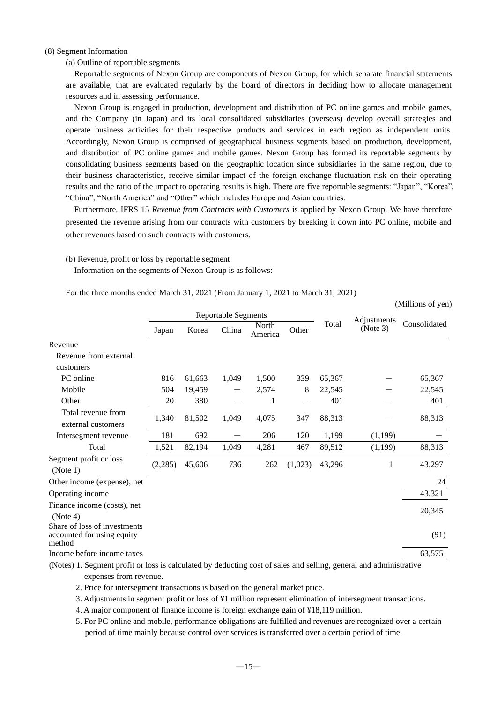#### (8) Segment Information

(a) Outline of reportable segments

Reportable segments of Nexon Group are components of Nexon Group, for which separate financial statements are available, that are evaluated regularly by the board of directors in deciding how to allocate management resources and in assessing performance.

Nexon Group is engaged in production, development and distribution of PC online games and mobile games, and the Company (in Japan) and its local consolidated subsidiaries (overseas) develop overall strategies and operate business activities for their respective products and services in each region as independent units. Accordingly, Nexon Group is comprised of geographical business segments based on production, development, and distribution of PC online games and mobile games. Nexon Group has formed its reportable segments by consolidating business segments based on the geographic location since subsidiaries in the same region, due to their business characteristics, receive similar impact of the foreign exchange fluctuation risk on their operating results and the ratio of the impact to operating results is high. There are five reportable segments: "Japan", "Korea", "China", "North America" and "Other" which includes Europe and Asian countries.

Furthermore, IFRS 15 *Revenue from Contracts with Customers* is applied by Nexon Group. We have therefore presented the revenue arising from our contracts with customers by breaking it down into PC online, mobile and other revenues based on such contracts with customers.

(Millions of yen)

#### (b) Revenue, profit or loss by reportable segment

Information on the segments of Nexon Group is as follows:

For the three months ended March 31, 2021 (From January 1, 2021 to March 31, 2021)

|                                                                                                                    | <b>Reportable Segments</b> |        |                   |                  |         |        |                         |              |
|--------------------------------------------------------------------------------------------------------------------|----------------------------|--------|-------------------|------------------|---------|--------|-------------------------|--------------|
|                                                                                                                    | Japan                      | Korea  | China             | North<br>America | Other   | Total  | Adjustments<br>(Note 3) | Consolidated |
| Revenue                                                                                                            |                            |        |                   |                  |         |        |                         |              |
| Revenue from external<br>customers                                                                                 |                            |        |                   |                  |         |        |                         |              |
| PC online                                                                                                          | 816                        | 61,663 | 1,049             | 1,500            | 339     | 65,367 |                         | 65,367       |
| Mobile                                                                                                             | 504                        | 19,459 |                   | 2,574            | 8       | 22,545 |                         | 22,545       |
| Other                                                                                                              | 20                         | 380    |                   | 1                |         | 401    |                         | 401          |
| Total revenue from<br>external customers                                                                           | 1,340                      | 81,502 | 1,049             | 4,075            | 347     | 88,313 |                         | 88,313       |
| Intersegment revenue                                                                                               | 181                        | 692    | $\qquad \qquad -$ | 206              | 120     | 1,199  | (1,199)                 |              |
| Total                                                                                                              | 1,521                      | 82,194 | 1,049             | 4,281            | 467     | 89,512 | (1,199)                 | 88,313       |
| Segment profit or loss<br>(Note 1)                                                                                 | (2, 285)                   | 45,606 | 736               | 262              | (1,023) | 43,296 | 1                       | 43,297       |
| Other income (expense), net                                                                                        |                            |        |                   |                  |         |        |                         | 24           |
| Operating income                                                                                                   |                            |        |                   |                  |         |        |                         | 43,321       |
| Finance income (costs), net<br>(Note 4)                                                                            |                            |        |                   |                  |         |        |                         | 20,345       |
| Share of loss of investments<br>accounted for using equity<br>method                                               |                            |        |                   |                  |         |        |                         | (91)         |
| Income before income taxes                                                                                         |                            |        |                   |                  |         |        |                         | 63,575       |
| (Notes) 1. Segment profit or loss is calculated by deducting cost of sales and selling, general and administrative |                            |        |                   |                  |         |        |                         |              |

expenses from revenue.

2. Price for intersegment transactions is based on the general market price.

3. Adjustments in segment profit or loss of ¥1 million represent elimination of intersegment transactions.

4. A major component of finance income is foreign exchange gain of ¥18,119 million.

5. For PC online and mobile, performance obligations are fulfilled and revenues are recognized over a certain period of time mainly because control over services is transferred over a certain period of time.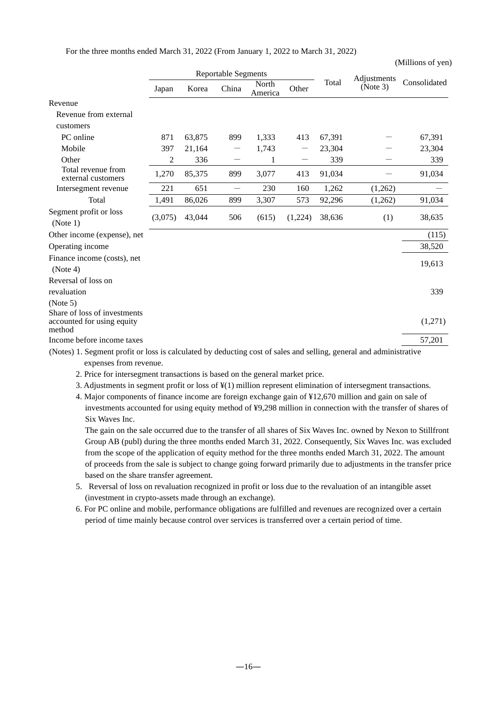For the three months ended March 31, 2022 (From January 1, 2022 to March 31, 2022)

|                                                                                                                    | <b>Reportable Segments</b> |        |                                  |                  |         |        | Adjustments |              |
|--------------------------------------------------------------------------------------------------------------------|----------------------------|--------|----------------------------------|------------------|---------|--------|-------------|--------------|
|                                                                                                                    | Japan                      | Korea  | China                            | North<br>America | Other   | Total  | (Note 3)    | Consolidated |
| Revenue                                                                                                            |                            |        |                                  |                  |         |        |             |              |
| Revenue from external                                                                                              |                            |        |                                  |                  |         |        |             |              |
| customers                                                                                                          |                            |        |                                  |                  |         |        |             |              |
| PC online                                                                                                          | 871                        | 63,875 | 899                              | 1,333            | 413     | 67,391 |             | 67,391       |
| Mobile                                                                                                             | 397                        | 21,164 | $\overbrace{\phantom{12322111}}$ | 1,743            |         | 23,304 |             | 23,304       |
| Other                                                                                                              | 2                          | 336    |                                  | 1                |         | 339    |             | 339          |
| Total revenue from<br>external customers                                                                           | 1,270                      | 85,375 | 899                              | 3,077            | 413     | 91,034 |             | 91,034       |
| Intersegment revenue                                                                                               | 221                        | 651    |                                  | 230              | 160     | 1,262  | (1,262)     |              |
| Total                                                                                                              | 1,491                      | 86,026 | 899                              | 3,307            | 573     | 92,296 | (1,262)     | 91,034       |
| Segment profit or loss<br>(Note 1)                                                                                 | (3,075)                    | 43,044 | 506                              | (615)            | (1,224) | 38,636 | (1)         | 38,635       |
| Other income (expense), net                                                                                        |                            |        |                                  |                  |         |        |             | (115)        |
| Operating income                                                                                                   |                            |        |                                  |                  |         |        |             | 38,520       |
| Finance income (costs), net<br>(Note 4)                                                                            |                            |        |                                  |                  |         |        |             | 19,613       |
| Reversal of loss on<br>revaluation                                                                                 |                            |        |                                  |                  |         |        |             | 339          |
| (Note 5)                                                                                                           |                            |        |                                  |                  |         |        |             |              |
| Share of loss of investments<br>accounted for using equity<br>method                                               |                            |        |                                  |                  |         |        |             | (1,271)      |
| Income before income taxes                                                                                         |                            |        |                                  |                  |         |        |             | 57,201       |
| (Notes) 1. Segment profit or loss is calculated by deducting cost of sales and selling, general and administrative |                            |        |                                  |                  |         |        |             |              |

(Millions of yen)

expenses from revenue.

2. Price for intersegment transactions is based on the general market price.

3. Adjustments in segment profit or loss of ¥(1) million represent elimination of intersegment transactions.

4. Major components of finance income are foreign exchange gain of ¥12,670 million and gain on sale of investments accounted for using equity method of ¥9,298 million in connection with the transfer of shares of Six Waves Inc.

The gain on the sale occurred due to the transfer of all shares of Six Waves Inc. owned by Nexon to Stillfront Group AB (publ) during the three months ended March 31, 2022. Consequently, Six Waves Inc. was excluded from the scope of the application of equity method for the three months ended March 31, 2022. The amount of proceeds from the sale is subject to change going forward primarily due to adjustments in the transfer price based on the share transfer agreement.

- 5. Reversal of loss on revaluation recognized in profit or loss due to the revaluation of an intangible asset (investment in crypto-assets made through an exchange).
- 6. For PC online and mobile, performance obligations are fulfilled and revenues are recognized over a certain period of time mainly because control over services is transferred over a certain period of time.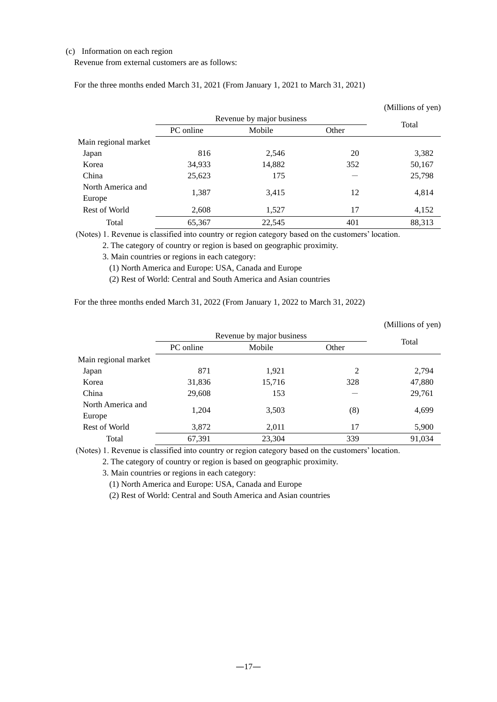#### (c) Information on each region

Revenue from external customers are as follows:

For the three months ended March 31, 2021 (From January 1, 2021 to March 31, 2021)

|                             |           |                           |       | (Millions of yen) |
|-----------------------------|-----------|---------------------------|-------|-------------------|
|                             |           | Revenue by major business |       | Total             |
|                             | PC online | Mobile                    | Other |                   |
| Main regional market        |           |                           |       |                   |
| Japan                       | 816       | 2,546                     | 20    | 3,382             |
| Korea                       | 34,933    | 14,882                    | 352   | 50,167            |
| China                       | 25,623    | 175                       |       | 25,798            |
| North America and<br>Europe | 1,387     | 3,415                     | 12    | 4,814             |
| Rest of World               | 2,608     | 1,527                     | 17    | 4,152             |
| Total                       | 65,367    | 22,545                    | 401   | 88,313            |

(Notes) 1. Revenue is classified into country or region category based on the customers' location.

2. The category of country or region is based on geographic proximity.

3. Main countries or regions in each category:

(1) North America and Europe: USA, Canada and Europe

(2) Rest of World: Central and South America and Asian countries

For the three months ended March 31, 2022 (From January 1, 2022 to March 31, 2022)

|                      |           |                           |                | (Millions of yen) |
|----------------------|-----------|---------------------------|----------------|-------------------|
|                      |           | Revenue by major business |                |                   |
|                      | PC online | Mobile<br>Other           |                | Total             |
| Main regional market |           |                           |                |                   |
| Japan                | 871       | 1,921                     | $\mathfrak{D}$ | 2,794             |
| Korea                | 31,836    | 15,716                    | 328            | 47,880            |
| China                | 29,608    | 153                       |                | 29,761            |
| North America and    |           |                           |                |                   |
| Europe               | 1,204     | 3,503                     | (8)            | 4,699             |
| Rest of World        | 3,872     | 2,011                     | 17             | 5,900             |
| Total                | 67,391    | 23,304                    | 339            | 91,034            |

(Notes) 1. Revenue is classified into country or region category based on the customers' location.

2. The category of country or region is based on geographic proximity.

3. Main countries or regions in each category:

(1) North America and Europe: USA, Canada and Europe

(2) Rest of World: Central and South America and Asian countries